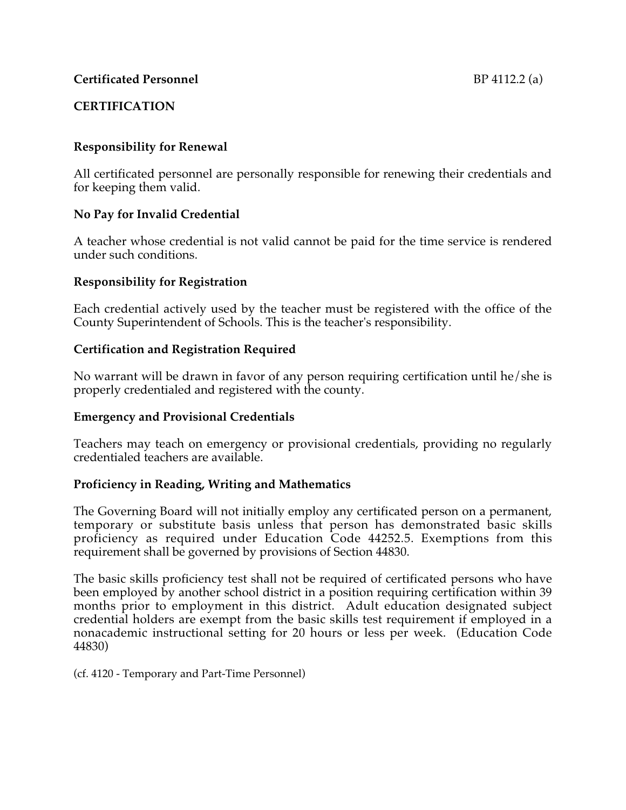# **CERTIFICATION**

# **Responsibility for Renewal**

All certificated personnel are personally responsible for renewing their credentials and for keeping them valid.

## **No Pay for Invalid Credential**

A teacher whose credential is not valid cannot be paid for the time service is rendered under such conditions.

## **Responsibility for Registration**

Each credential actively used by the teacher must be registered with the office of the County Superintendent of Schools. This is the teacher's responsibility.

# **Certification and Registration Required**

No warrant will be drawn in favor of any person requiring certification until he/she is properly credentialed and registered with the county.

## **Emergency and Provisional Credentials**

Teachers may teach on emergency or provisional credentials, providing no regularly credentialed teachers are available.

## **Proficiency in Reading, Writing and Mathematics**

The Governing Board will not initially employ any certificated person on a permanent, temporary or substitute basis unless that person has demonstrated basic skills proficiency as required under Education Code 44252.5. Exemptions from this requirement shall be governed by provisions of Section 44830.

The basic skills proficiency test shall not be required of certificated persons who have been employed by another school district in a position requiring certification within 39 months prior to employment in this district. Adult education designated subject credential holders are exempt from the basic skills test requirement if employed in a nonacademic instructional setting for 20 hours or less per week. (Education Code 44830)

(cf. 4120 - Temporary and Part-Time Personnel)